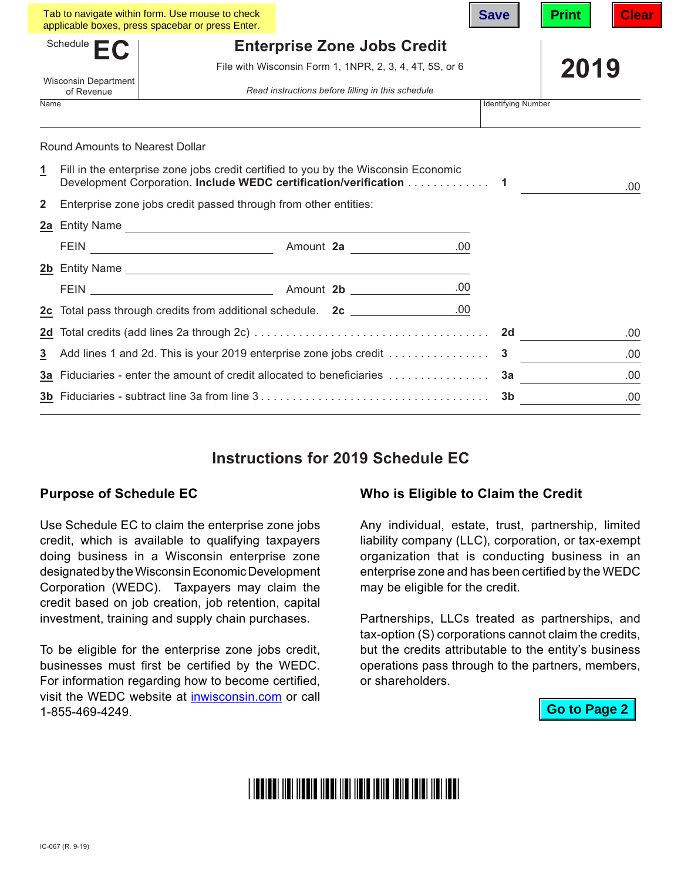|                                                         |                                                                                                                                                                 | Tab to navigate within form. Use mouse to check<br>applicable boxes, press spacebar or press Enter. |  |  |  | <b>Save</b>               | <b>Print</b> | Clear |
|---------------------------------------------------------|-----------------------------------------------------------------------------------------------------------------------------------------------------------------|-----------------------------------------------------------------------------------------------------|--|--|--|---------------------------|--------------|-------|
| Schedule <b>E</b><br><b>Enterprise Zone Jobs Credit</b> |                                                                                                                                                                 |                                                                                                     |  |  |  |                           |              |       |
|                                                         |                                                                                                                                                                 | File with Wisconsin Form 1, 1NPR, 2, 3, 4, 4T, 5S, or 6                                             |  |  |  |                           | 2019         |       |
| <b>Wisconsin Department</b><br>of Revenue               |                                                                                                                                                                 | Read instructions before filling in this schedule                                                   |  |  |  |                           |              |       |
| Name                                                    |                                                                                                                                                                 |                                                                                                     |  |  |  | <b>Identifying Number</b> |              |       |
|                                                         | <b>Round Amounts to Nearest Dollar</b>                                                                                                                          |                                                                                                     |  |  |  |                           |              |       |
| <u>1</u>                                                | Fill in the enterprise zone jobs credit certified to you by the Wisconsin Economic<br>Development Corporation. Include WEDC certification/verification 1<br>.00 |                                                                                                     |  |  |  |                           |              |       |
| $\overline{2}$                                          | Enterprise zone jobs credit passed through from other entities:                                                                                                 |                                                                                                     |  |  |  |                           |              |       |
|                                                         |                                                                                                                                                                 | 2a Entity Name                                                                                      |  |  |  |                           |              |       |
|                                                         |                                                                                                                                                                 |                                                                                                     |  |  |  |                           |              |       |
|                                                         |                                                                                                                                                                 | 2b Entity Name                                                                                      |  |  |  |                           |              |       |
|                                                         |                                                                                                                                                                 |                                                                                                     |  |  |  |                           |              |       |
|                                                         |                                                                                                                                                                 | 2c Total pass through credits from additional schedule. 2c _______________.00                       |  |  |  |                           |              |       |
|                                                         |                                                                                                                                                                 |                                                                                                     |  |  |  |                           |              | .00   |
| 3                                                       | Add lines 1 and 2d. This is your 2019 enterprise zone jobs credit 3                                                                                             |                                                                                                     |  |  |  |                           |              | .00   |
|                                                         | 3a Fiduciaries - enter the amount of credit allocated to beneficiaries                                                                                          |                                                                                                     |  |  |  | 3a                        | .00          |       |
|                                                         |                                                                                                                                                                 |                                                                                                     |  |  |  | 3b                        |              | .00   |

## **Instructions for 2019 Schedule EC**

## **Purpose of Schedule EC**

Use Schedule EC to claim the enterprise zone jobs credit, which is available to qualifying taxpayers doing business in a Wisconsin enterprise zone designated by the Wisconsin Economic Development Corporation (WEDC). Taxpayers may claim the credit based on job creation, job retention, capital investment, training and supply chain purchases.

To be eligible for the enterprise zone jobs credit, businesses must first be certified by the WEDC. For information regarding how to become certified, visit the WEDC website at [inwisconsin.com](http://www.inwisconsin.com) or call 1-855-469-4249.

## **Who is Eligible to Claim the Credit**

Any individual, estate, trust, partnership, limited liability company (LLC), corporation, or tax-exempt organization that is conducting business in an enterprise zone and has been certified by the WEDC may be eligible for the credit.

Partnerships, LLCs treated as partnerships, and tax-option (S) corporations cannot claim the credits, but the credits attributable to the entity's business operations pass through to the partners, members, or shareholders.

**Go to Page 2**

# <u>i indindi ildi ildolo ildol ildi ildig idild idild ididi ildi iddi</u>